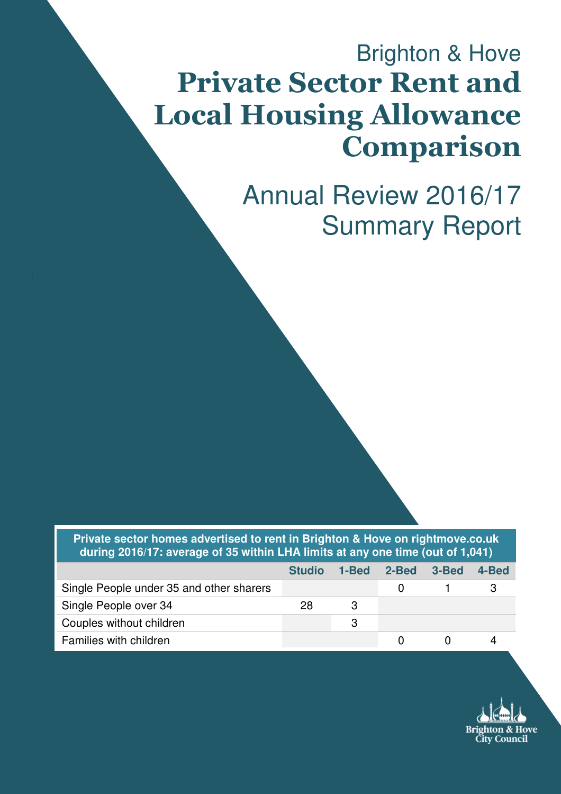# Brighton & Hove Private Sector Rent and Local Housing Allowance Comparison

Annual Review 2016/17 Summary Report

**Private sector homes advertised to rent in Brighton & Hove on rightmove.co.uk during 2016/17: average of 35 within LHA limits at any one time (out of 1,041)** 

|                                          | <b>Studio</b> | 1-Bed 2-Bed 3-Bed | 4-Bed |
|------------------------------------------|---------------|-------------------|-------|
| Single People under 35 and other sharers |               |                   |       |
| Single People over 34                    | 28            |                   |       |
| Couples without children                 |               |                   |       |
| Families with children                   |               |                   |       |

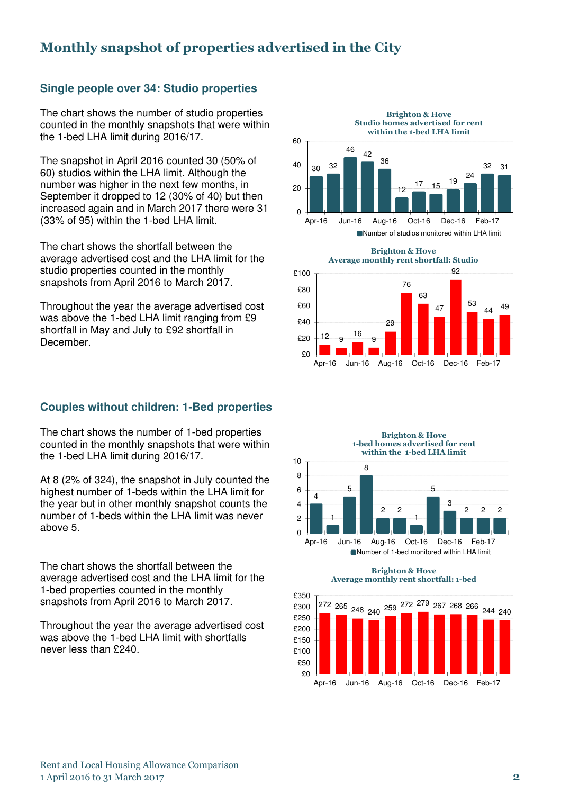## Monthly snapshot of properties advertised in the City

#### **Single people over 34: Studio properties**

The chart shows the number of studio properties counted in the monthly snapshots that were within the 1-bed LHA limit during 2016/17.

The snapshot in April 2016 counted 30 (50% of 60) studios within the LHA limit. Although the number was higher in the next few months, in September it dropped to 12 (30% of 40) but then increased again and in March 2017 there were 31 (33% of 95) within the 1-bed LHA limit.

The chart shows the shortfall between the average advertised cost and the LHA limit for the studio properties counted in the monthly snapshots from April 2016 to March 2017.

Throughout the year the average advertised cost was above the 1-bed LHA limit ranging from £9 shortfall in May and July to £92 shortfall in December.

#### **Couples without children: 1-Bed properties**

The chart shows the number of 1-bed properties counted in the monthly snapshots that were within the 1-bed LHA limit during 2016/17.

At 8 (2% of 324), the snapshot in July counted the highest number of 1-beds within the LHA limit for the year but in other monthly snapshot counts the number of 1-beds within the LHA limit was never above 5.

The chart shows the shortfall between the average advertised cost and the LHA limit for the 1-bed properties counted in the monthly snapshots from April 2016 to March 2017.

Throughout the year the average advertised cost was above the 1-bed LHA limit with shortfalls never less than £240.







Brighton & Hove



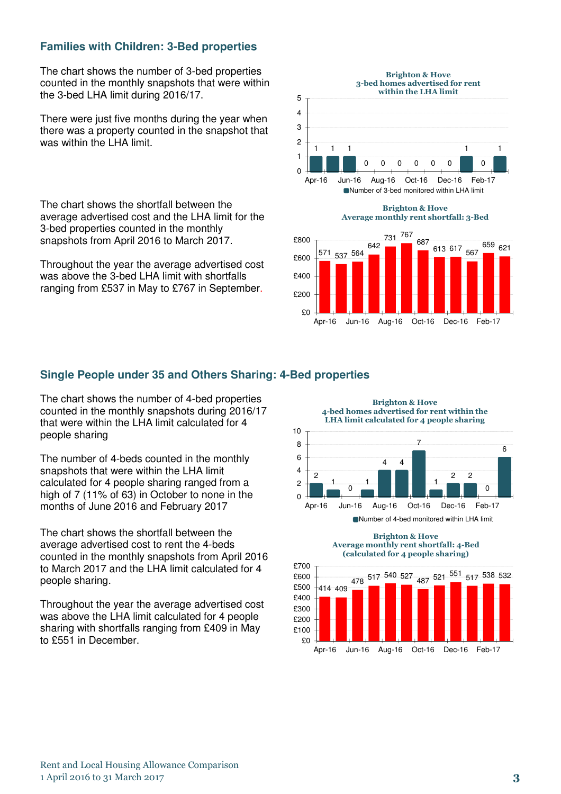#### **Families with Children: 3-Bed properties**

The chart shows the number of 3-bed properties counted in the monthly snapshots that were within the 3-bed LHA limit during 2016/17.

There were just five months during the year when there was a property counted in the snapshot that was within the LHA limit.

The chart shows the shortfall between the average advertised cost and the LHA limit for the 3-bed properties counted in the monthly snapshots from April 2016 to March 2017.

Throughout the year the average advertised cost was above the 3-bed LHA limit with shortfalls ranging from £537 in May to £767 in September.



#### **Single People under 35 and Others Sharing: 4-Bed properties**

The chart shows the number of 4-bed properties counted in the monthly snapshots during 2016/17 that were within the LHA limit calculated for 4 people sharing

The number of 4-beds counted in the monthly snapshots that were within the LHA limit calculated for 4 people sharing ranged from a high of 7 (11% of 63) in October to none in the months of June 2016 and February 2017

The chart shows the shortfall between the average advertised cost to rent the 4-beds counted in the monthly snapshots from April 2016 to March 2017 and the LHA limit calculated for 4 people sharing.

Throughout the year the average advertised cost was above the LHA limit calculated for 4 people sharing with shortfalls ranging from £409 in May to £551 in December.



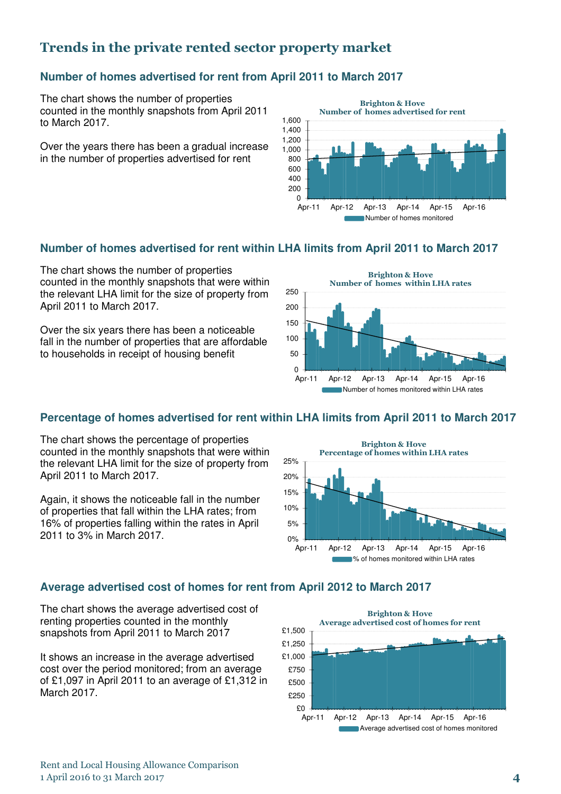## Trends in the private rented sector property market

#### **Number of homes advertised for rent from April 2011 to March 2017**

The chart shows the number of properties counted in the monthly snapshots from April 2011 to March 2017.

Over the years there has been a gradual increase in the number of properties advertised for rent



#### **Number of homes advertised for rent within LHA limits from April 2011 to March 2017**

The chart shows the number of properties counted in the monthly snapshots that were within the relevant LHA limit for the size of property from April 2011 to March 2017.

Over the six years there has been a noticeable fall in the number of properties that are affordable to households in receipt of housing benefit



#### **Percentage of homes advertised for rent within LHA limits from April 2011 to March 2017**

The chart shows the percentage of properties counted in the monthly snapshots that were within the relevant LHA limit for the size of property from April 2011 to March 2017.

Again, it shows the noticeable fall in the number of properties that fall within the LHA rates; from 16% of properties falling within the rates in April 2011 to 3% in March 2017.



#### **Average advertised cost of homes for rent from April 2012 to March 2017**

The chart shows the average advertised cost of renting properties counted in the monthly snapshots from April 2011 to March 2017

It shows an increase in the average advertised cost over the period monitored; from an average of £1,097 in April 2011 to an average of £1,312 in March 2017.

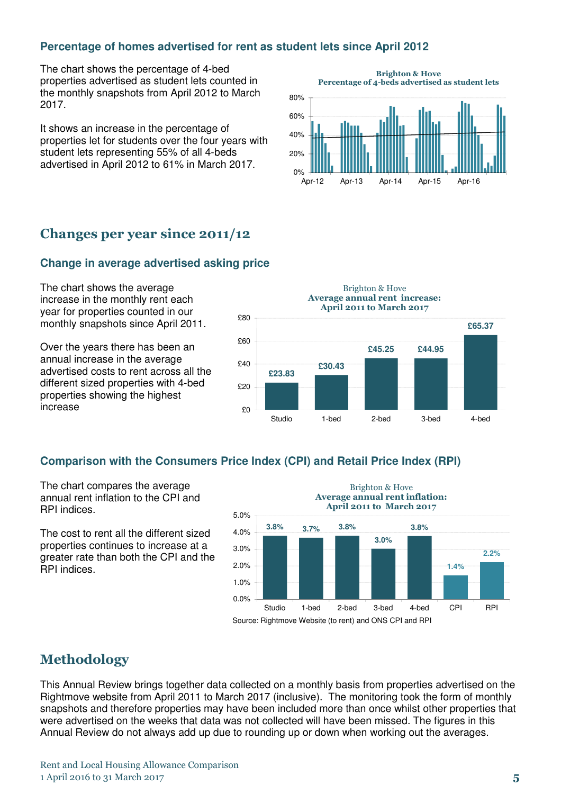#### **Percentage of homes advertised for rent as student lets since April 2012**

The chart shows the percentage of 4-bed properties advertised as student lets counted in the monthly snapshots from April 2012 to March 2017.

It shows an increase in the percentage of properties let for students over the four years with student lets representing 55% of all 4-beds advertised in April 2012 to 61% in March 2017.



## Changes per year since 2011/12

#### **Change in average advertised asking price**

The chart shows the average increase in the monthly rent each year for properties counted in our monthly snapshots since April 2011.

Over the years there has been an annual increase in the average advertised costs to rent across all the different sized properties with 4-bed properties showing the highest increase

**£23.83 £30.43 £45.25 £44.95 £65.37** £0 £20 £40 £60 £80 Studio 1-bed 2-bed 3-bed 4-bed Brighton & Hove Average annual rent increase: April 2011 to March 2017

#### **Comparison with the Consumers Price Index (CPI) and Retail Price Index (RPI)**

The chart compares the average annual rent inflation to the CPI and RPI indices.

The cost to rent all the different sized properties continues to increase at a greater rate than both the CPI and the RPI indices.



### Methodology

This Annual Review brings together data collected on a monthly basis from properties advertised on the Rightmove website from April 2011 to March 2017 (inclusive). The monitoring took the form of monthly snapshots and therefore properties may have been included more than once whilst other properties that were advertised on the weeks that data was not collected will have been missed. The figures in this Annual Review do not always add up due to rounding up or down when working out the averages.